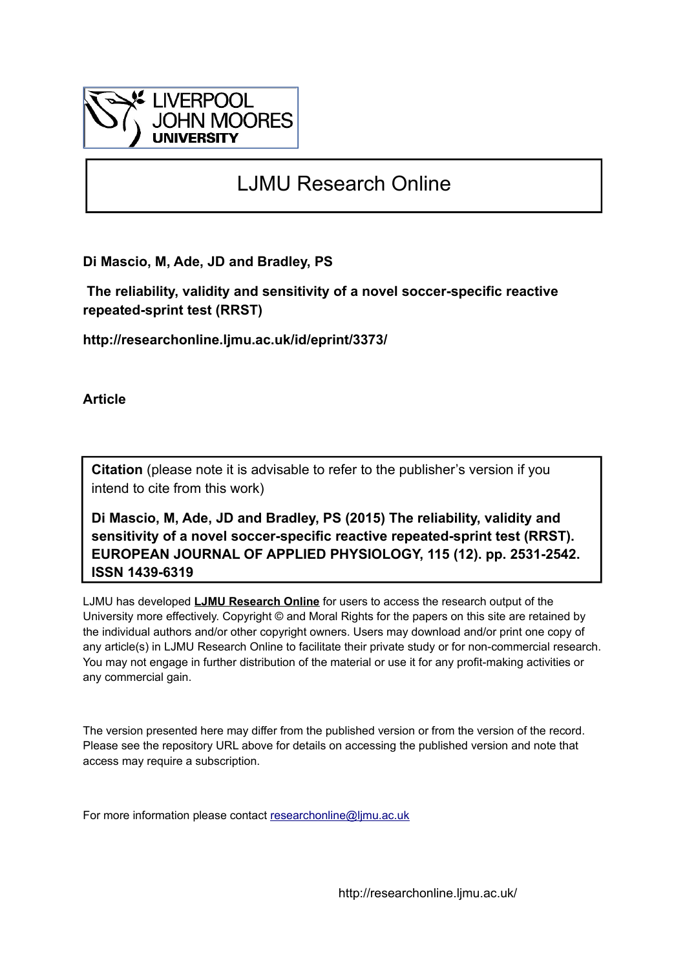

# LJMU Research Online

**Di Mascio, M, Ade, JD and Bradley, PS**

 **The reliability, validity and sensitivity of a novel soccer-specific reactive repeated-sprint test (RRST)**

**http://researchonline.ljmu.ac.uk/id/eprint/3373/**

**Article**

**Citation** (please note it is advisable to refer to the publisher's version if you intend to cite from this work)

**Di Mascio, M, Ade, JD and Bradley, PS (2015) The reliability, validity and sensitivity of a novel soccer-specific reactive repeated-sprint test (RRST). EUROPEAN JOURNAL OF APPLIED PHYSIOLOGY, 115 (12). pp. 2531-2542. ISSN 1439-6319** 

LJMU has developed **[LJMU Research Online](http://researchonline.ljmu.ac.uk/)** for users to access the research output of the University more effectively. Copyright © and Moral Rights for the papers on this site are retained by the individual authors and/or other copyright owners. Users may download and/or print one copy of any article(s) in LJMU Research Online to facilitate their private study or for non-commercial research. You may not engage in further distribution of the material or use it for any profit-making activities or any commercial gain.

The version presented here may differ from the published version or from the version of the record. Please see the repository URL above for details on accessing the published version and note that access may require a subscription.

For more information please contact [researchonline@ljmu.ac.uk](mailto:researchonline@ljmu.ac.uk)

http://researchonline.ljmu.ac.uk/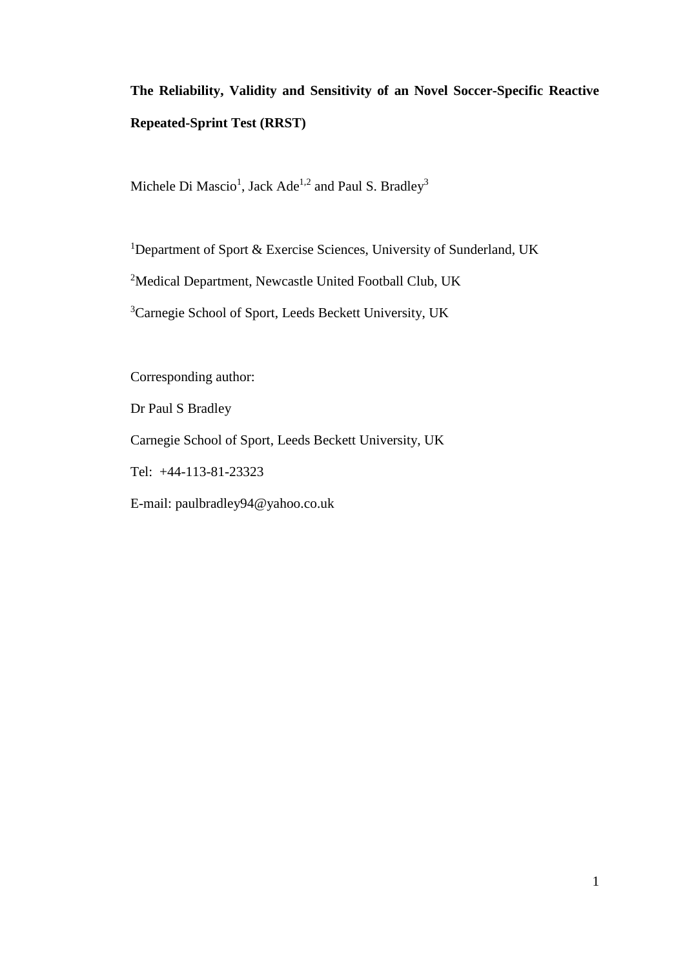## **The Reliability, Validity and Sensitivity of an Novel Soccer-Specific Reactive Repeated-Sprint Test (RRST)**

Michele Di Mascio<sup>1</sup>, Jack Ade<sup>1,2</sup> and Paul S. Bradley<sup>3</sup>

<sup>1</sup>Department of Sport & Exercise Sciences, University of Sunderland, UK

<sup>2</sup>Medical Department, Newcastle United Football Club, UK

<sup>3</sup>Carnegie School of Sport, Leeds Beckett University, UK

Corresponding author:

Dr Paul S Bradley

Carnegie School of Sport, Leeds Beckett University, UK

Tel: +44-113-81-23323

E-mail: [paulbradley94@yahoo.co.uk](mailto:paulbradley94@yahoo.co.uk)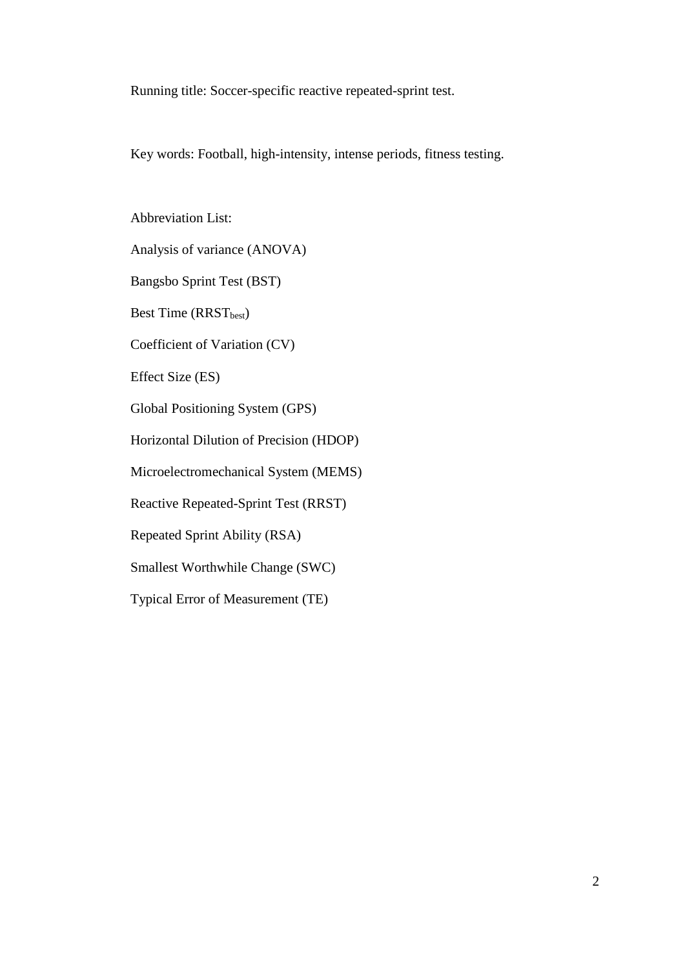Running title: Soccer-specific reactive repeated-sprint test.

Key words: Football, high-intensity, intense periods, fitness testing.

Abbreviation List:

Analysis of variance (ANOVA)

Bangsbo Sprint Test (BST)

Best Time (RRST<sub>best</sub>)

Coefficient of Variation (CV)

Effect Size (ES)

Global Positioning System (GPS)

Horizontal Dilution of Precision (HDOP)

Microelectromechanical System (MEMS)

Reactive Repeated-Sprint Test (RRST)

Repeated Sprint Ability (RSA)

Smallest Worthwhile Change (SWC)

Typical Error of Measurement (TE)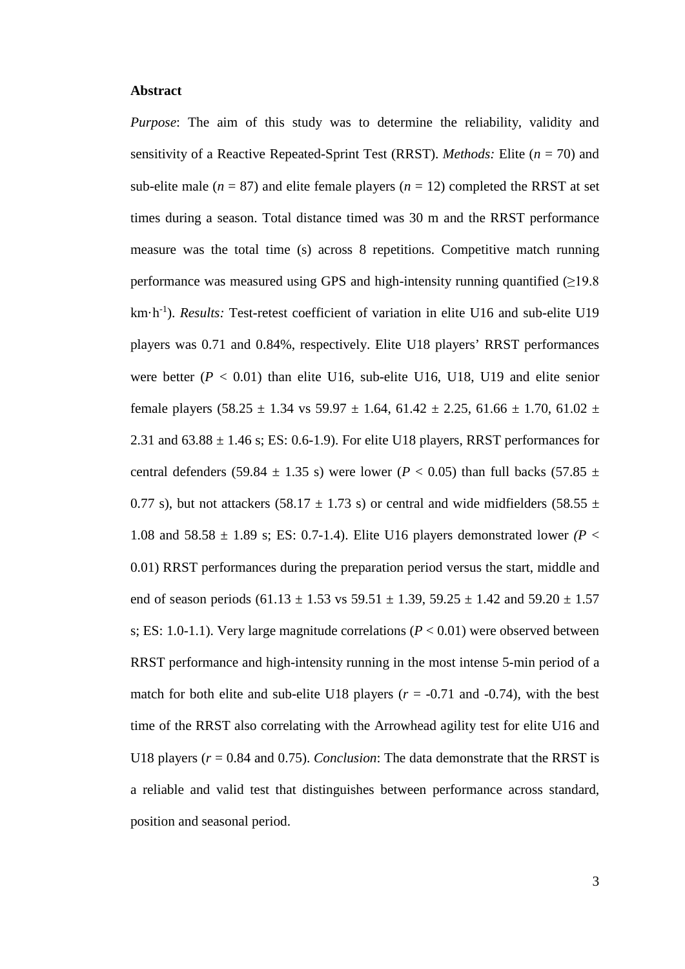### **Abstract**

*Purpose*: The aim of this study was to determine the reliability, validity and sensitivity of a Reactive Repeated-Sprint Test (RRST). *Methods:* Elite (*n* = 70) and sub-elite male ( $n = 87$ ) and elite female players ( $n = 12$ ) completed the RRST at set times during a season. Total distance timed was 30 m and the RRST performance measure was the total time (s) across 8 repetitions. Competitive match running performance was measured using GPS and high-intensity running quantified  $(≥19.8$ km·h<sup>-1</sup>). *Results:* Test-retest coefficient of variation in elite U16 and sub-elite U19 players was 0.71 and 0.84%, respectively. Elite U18 players' RRST performances were better  $(P < 0.01)$  than elite U16, sub-elite U16, U18, U19 and elite senior female players  $(58.25 \pm 1.34 \text{ vs } 59.97 \pm 1.64, 61.42 \pm 2.25, 61.66 \pm 1.70, 61.02 \pm 1.64)$ 2.31 and  $63.88 \pm 1.46$  s; ES: 0.6-1.9). For elite U18 players, RRST performances for central defenders (59.84  $\pm$  1.35 s) were lower (*P* < 0.05) than full backs (57.85  $\pm$ 0.77 s), but not attackers (58.17  $\pm$  1.73 s) or central and wide midfielders (58.55  $\pm$ 1.08 and  $58.58 \pm 1.89$  s; ES: 0.7-1.4). Elite U16 players demonstrated lower *(P <* 0.01) RRST performances during the preparation period versus the start, middle and end of season periods  $(61.13 \pm 1.53 \text{ vs } 59.51 \pm 1.39, 59.25 \pm 1.42 \text{ and } 59.20 \pm 1.57$ s; ES: 1.0-1.1). Very large magnitude correlations  $(P < 0.01)$  were observed between RRST performance and high-intensity running in the most intense 5-min period of a match for both elite and sub-elite U18 players  $(r = -0.71$  and  $-0.74)$ , with the best time of the RRST also correlating with the Arrowhead agility test for elite U16 and U18 players (*r* = 0.84 and 0.75). *Conclusion*: The data demonstrate that the RRST is a reliable and valid test that distinguishes between performance across standard, position and seasonal period.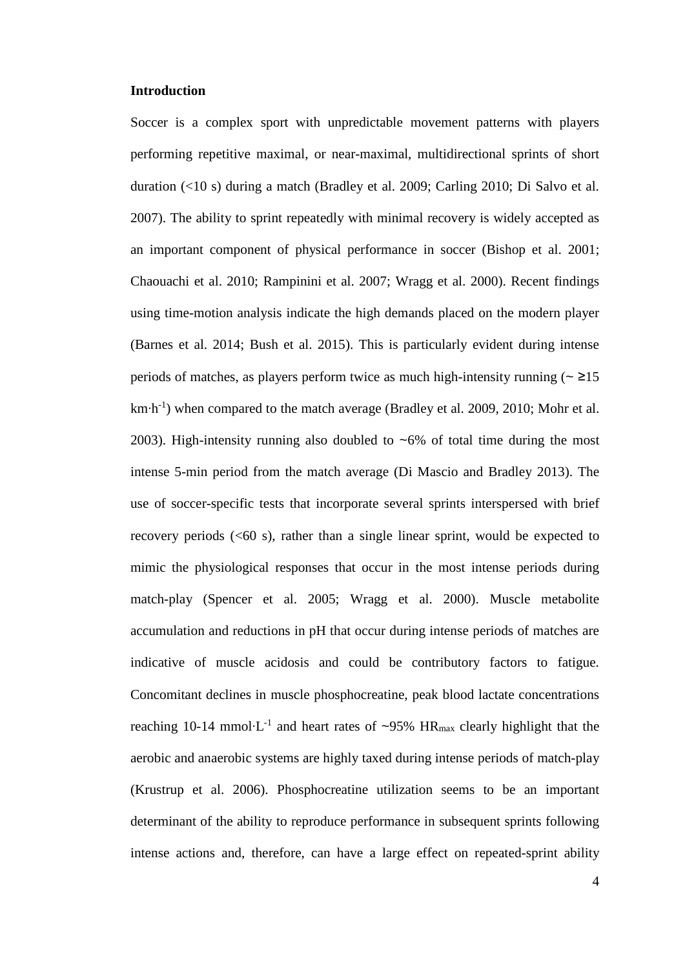## **Introduction**

Soccer is a complex sport with unpredictable movement patterns with players performing repetitive maximal, or near-maximal, multidirectional sprints of short duration (<10 s) during a match (Bradley et al. 2009; Carling 2010; Di Salvo et al. 2007). The ability to sprint repeatedly with minimal recovery is widely accepted as an important component of physical performance in soccer (Bishop et al. 2001; Chaouachi et al. 2010; Rampinini et al. 2007; Wragg et al. 2000). Recent findings using time-motion analysis indicate the high demands placed on the modern player (Barnes et al. 2014; Bush et al. 2015). This is particularly evident during intense periods of matches, as players perform twice as much high-intensity running ( $\approx$   $\geq$ 15 km⋅h<sup>-1</sup>) when compared to the match average (Bradley et al. 2009, 2010; Mohr et al. 2003). High-intensity running also doubled to  $\sim 6\%$  of total time during the most intense 5-min period from the match average (Di Mascio and Bradley 2013). The use of soccer-specific tests that incorporate several sprints interspersed with brief recovery periods (<60 s), rather than a single linear sprint, would be expected to mimic the physiological responses that occur in the most intense periods during match-play (Spencer et al. 2005; Wragg et al. 2000). Muscle metabolite accumulation and reductions in pH that occur during intense periods of matches are indicative of muscle acidosis and could be contributory factors to fatigue. Concomitant declines in muscle phosphocreatine, peak blood lactate concentrations reaching 10-14 mmol⋅L<sup>-1</sup> and heart rates of ~95% HR<sub>max</sub> clearly highlight that the aerobic and anaerobic systems are highly taxed during intense periods of match-play (Krustrup et al. 2006). Phosphocreatine utilization seems to be an important determinant of the ability to reproduce performance in subsequent sprints following intense actions and, therefore, can have a large effect on repeated-sprint ability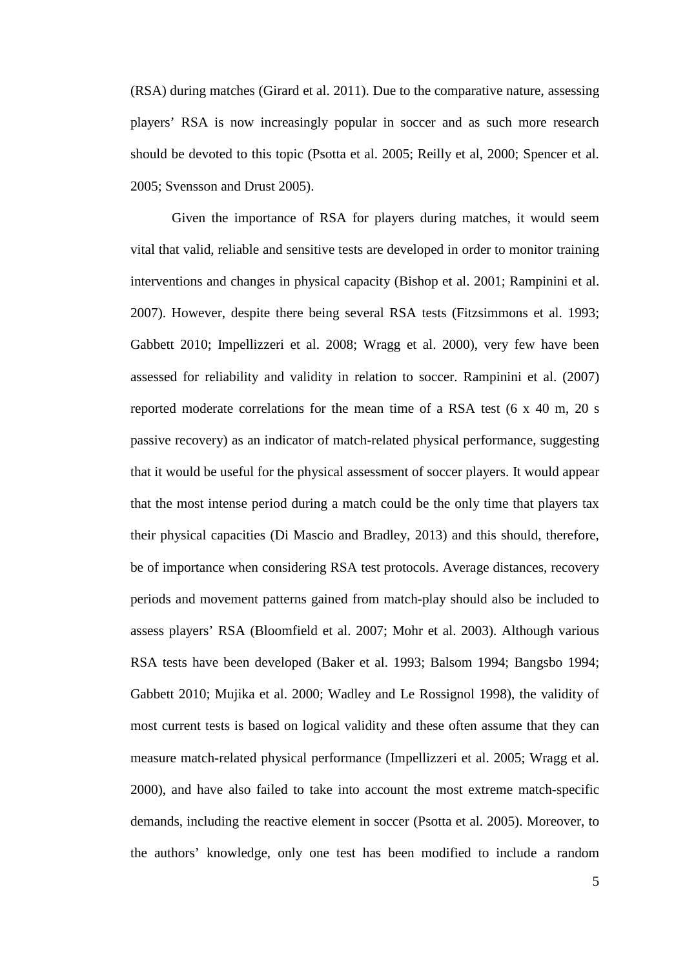(RSA) during matches (Girard et al. 2011). Due to the comparative nature, assessing players' RSA is now increasingly popular in soccer and as such more research should be devoted to this topic (Psotta et al. 2005; Reilly et al, 2000; Spencer et al. 2005; Svensson and Drust 2005).

Given the importance of RSA for players during matches, it would seem vital that valid, reliable and sensitive tests are developed in order to monitor training interventions and changes in physical capacity (Bishop et al. 2001; Rampinini et al. 2007). However, despite there being several RSA tests (Fitzsimmons et al. 1993; Gabbett 2010; Impellizzeri et al. 2008; Wragg et al. 2000), very few have been assessed for reliability and validity in relation to soccer. Rampinini et al. (2007) reported moderate correlations for the mean time of a RSA test (6 x 40 m, 20 s passive recovery) as an indicator of match-related physical performance, suggesting that it would be useful for the physical assessment of soccer players. It would appear that the most intense period during a match could be the only time that players tax their physical capacities (Di Mascio and Bradley, 2013) and this should, therefore, be of importance when considering RSA test protocols. Average distances, recovery periods and movement patterns gained from match-play should also be included to assess players' RSA (Bloomfield et al. 2007; Mohr et al. 2003). Although various RSA tests have been developed (Baker et al. 1993; Balsom 1994; Bangsbo 1994; Gabbett 2010; Mujika et al. 2000; Wadley and Le Rossignol 1998), the validity of most current tests is based on logical validity and these often assume that they can measure match-related physical performance (Impellizzeri et al. 2005; Wragg et al. 2000), and have also failed to take into account the most extreme match-specific demands, including the reactive element in soccer (Psotta et al. 2005). Moreover, to the authors' knowledge, only one test has been modified to include a random

5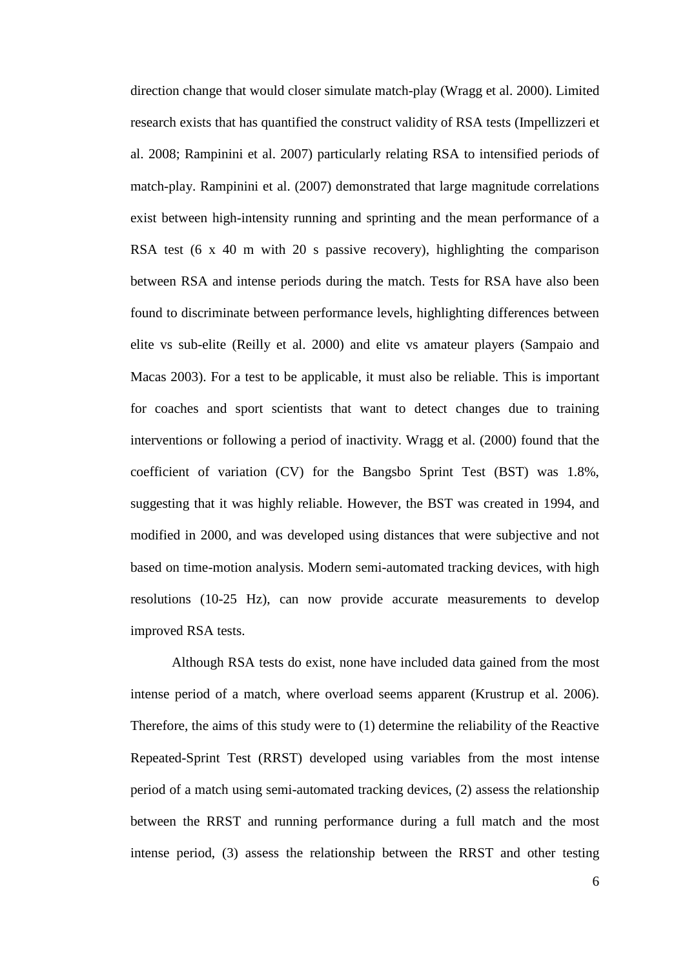direction change that would closer simulate match-play (Wragg et al. 2000). Limited research exists that has quantified the construct validity of RSA tests (Impellizzeri et al. 2008; Rampinini et al. 2007) particularly relating RSA to intensified periods of match-play. Rampinini et al. (2007) demonstrated that large magnitude correlations exist between high-intensity running and sprinting and the mean performance of a RSA test (6 x 40 m with 20 s passive recovery), highlighting the comparison between RSA and intense periods during the match. Tests for RSA have also been found to discriminate between performance levels, highlighting differences between elite vs sub-elite (Reilly et al. 2000) and elite vs amateur players (Sampaio and Macas 2003). For a test to be applicable, it must also be reliable. This is important for coaches and sport scientists that want to detect changes due to training interventions or following a period of inactivity. Wragg et al. (2000) found that the coefficient of variation (CV) for the Bangsbo Sprint Test (BST) was 1.8%, suggesting that it was highly reliable. However, the BST was created in 1994, and modified in 2000, and was developed using distances that were subjective and not based on time-motion analysis. Modern semi-automated tracking devices, with high resolutions (10-25 Hz), can now provide accurate measurements to develop improved RSA tests.

Although RSA tests do exist, none have included data gained from the most intense period of a match, where overload seems apparent (Krustrup et al. 2006). Therefore, the aims of this study were to (1) determine the reliability of the Reactive Repeated-Sprint Test (RRST) developed using variables from the most intense period of a match using semi-automated tracking devices, (2) assess the relationship between the RRST and running performance during a full match and the most intense period, (3) assess the relationship between the RRST and other testing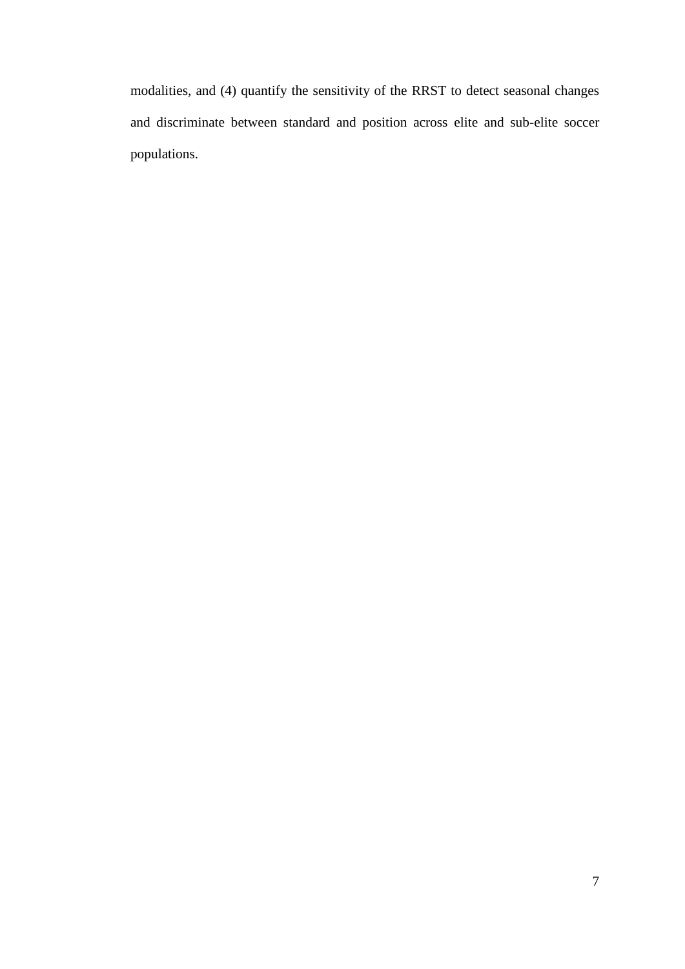modalities, and (4) quantify the sensitivity of the RRST to detect seasonal changes and discriminate between standard and position across elite and sub-elite soccer populations.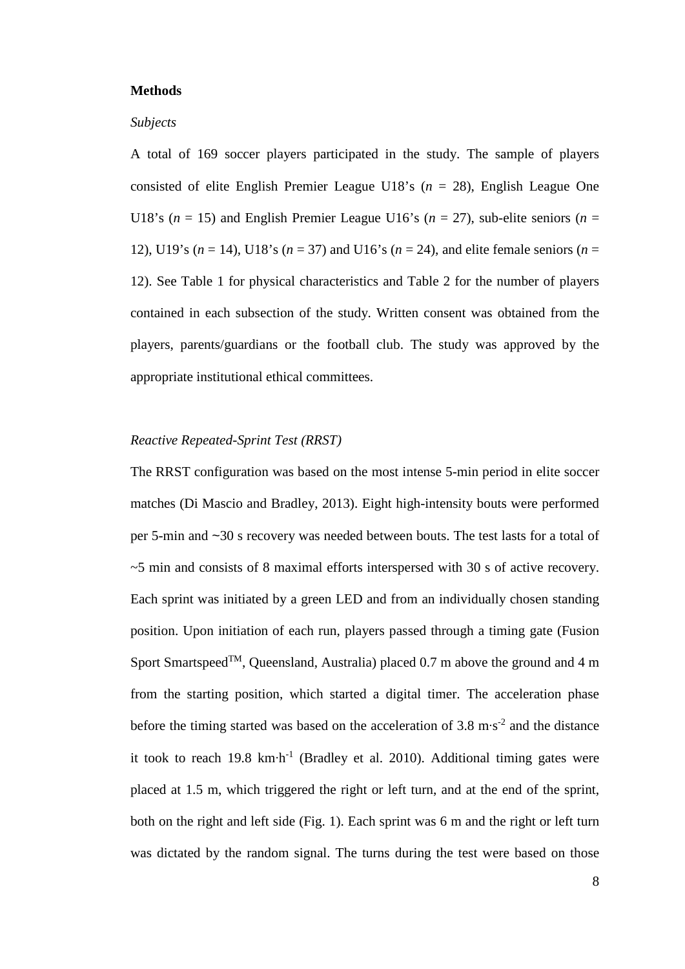### **Methods**

#### *Subjects*

A total of 169 soccer players participated in the study. The sample of players consisted of elite English Premier League U18's (*n* = 28), English League One U18's ( $n = 15$ ) and English Premier League U16's ( $n = 27$ ), sub-elite seniors ( $n =$ 12), U19's (*n* = 14), U18's (*n* = 37) and U16's (*n* = 24), and elite female seniors (*n* = 12). See Table 1 for physical characteristics and Table 2 for the number of players contained in each subsection of the study. Written consent was obtained from the players, parents/guardians or the football club. The study was approved by the appropriate institutional ethical committees.

## *Reactive Repeated-Sprint Test (RRST)*

The RRST configuration was based on the most intense 5-min period in elite soccer matches (Di Mascio and Bradley, 2013). Eight high-intensity bouts were performed per 5-min and ~30 s recovery was needed between bouts. The test lasts for a total of ~5 min and consists of 8 maximal efforts interspersed with 30 s of active recovery. Each sprint was initiated by a green LED and from an individually chosen standing position. Upon initiation of each run, players passed through a timing gate (Fusion Sport Smartspeed<sup>TM</sup>, Oueensland, Australia) placed 0.7 m above the ground and 4 m from the starting position, which started a digital timer. The acceleration phase before the timing started was based on the acceleration of 3.8 m⋅s<sup>-2</sup> and the distance it took to reach 19.8 km⋅h<sup>-1</sup> (Bradley et al. 2010). Additional timing gates were placed at 1.5 m, which triggered the right or left turn, and at the end of the sprint, both on the right and left side (Fig. 1). Each sprint was 6 m and the right or left turn was dictated by the random signal. The turns during the test were based on those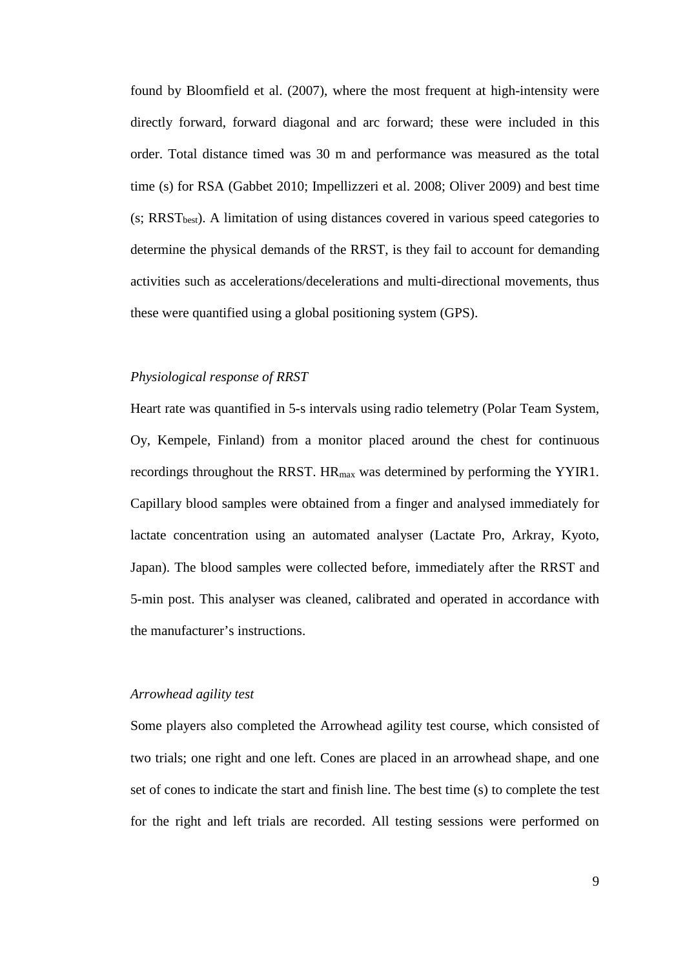found by Bloomfield et al. (2007), where the most frequent at high-intensity were directly forward, forward diagonal and arc forward; these were included in this order. Total distance timed was 30 m and performance was measured as the total time (s) for RSA (Gabbet 2010; Impellizzeri et al. 2008; Oliver 2009) and best time (s; RRST<sub>best</sub>). A limitation of using distances covered in various speed categories to determine the physical demands of the RRST, is they fail to account for demanding activities such as accelerations/decelerations and multi-directional movements, thus these were quantified using a global positioning system (GPS).

## *Physiological response of RRST*

Heart rate was quantified in 5-s intervals using radio telemetry (Polar Team System, Oy, Kempele, Finland) from a monitor placed around the chest for continuous recordings throughout the RRST.  $HR_{max}$  was determined by performing the YYIR1. Capillary blood samples were obtained from a finger and analysed immediately for lactate concentration using an automated analyser (Lactate Pro, Arkray, Kyoto, Japan). The blood samples were collected before, immediately after the RRST and 5-min post. This analyser was cleaned, calibrated and operated in accordance with the manufacturer's instructions.

## *Arrowhead agility test*

Some players also completed the Arrowhead agility test course, which consisted of two trials; one right and one left. Cones are placed in an arrowhead shape, and one set of cones to indicate the start and finish line. The best time (s) to complete the test for the right and left trials are recorded. All testing sessions were performed on

9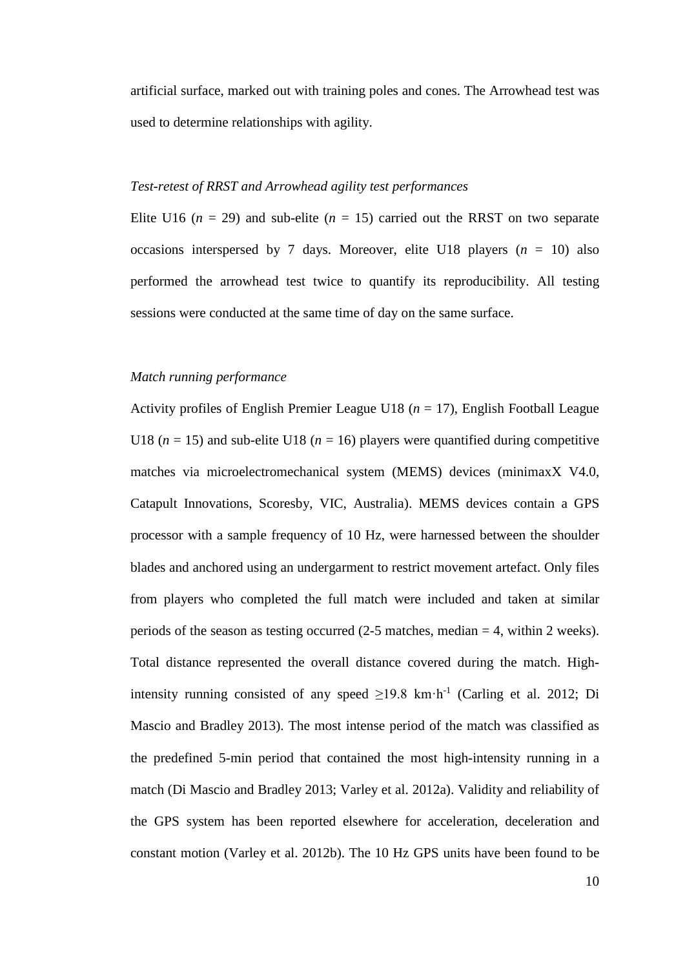artificial surface, marked out with training poles and cones. The Arrowhead test was used to determine relationships with agility.

## *Test-retest of RRST and Arrowhead agility test performances*

Elite U16 ( $n = 29$ ) and sub-elite ( $n = 15$ ) carried out the RRST on two separate occasions interspersed by 7 days. Moreover, elite U18 players  $(n = 10)$  also performed the arrowhead test twice to quantify its reproducibility. All testing sessions were conducted at the same time of day on the same surface.

#### *Match running performance*

Activity profiles of English Premier League U18 (*n* = 17), English Football League U18 ( $n = 15$ ) and sub-elite U18 ( $n = 16$ ) players were quantified during competitive matches via microelectromechanical system (MEMS) devices (minimaxX V4.0, Catapult Innovations, Scoresby, VIC, Australia). MEMS devices contain a GPS processor with a sample frequency of 10 Hz, were harnessed between the shoulder blades and anchored using an undergarment to restrict movement artefact. Only files from players who completed the full match were included and taken at similar periods of the season as testing occurred (2-5 matches, median = 4, within 2 weeks). Total distance represented the overall distance covered during the match. Highintensity running consisted of any speed  $\geq$ 19.8 km·h<sup>-1</sup> (Carling et al. 2012; Di Mascio and Bradley 2013). The most intense period of the match was classified as the predefined 5-min period that contained the most high-intensity running in a match (Di Mascio and Bradley 2013; Varley et al. 2012a). Validity and reliability of the GPS system has been reported elsewhere for acceleration, deceleration and constant motion (Varley et al. 2012b). The 10 Hz GPS units have been found to be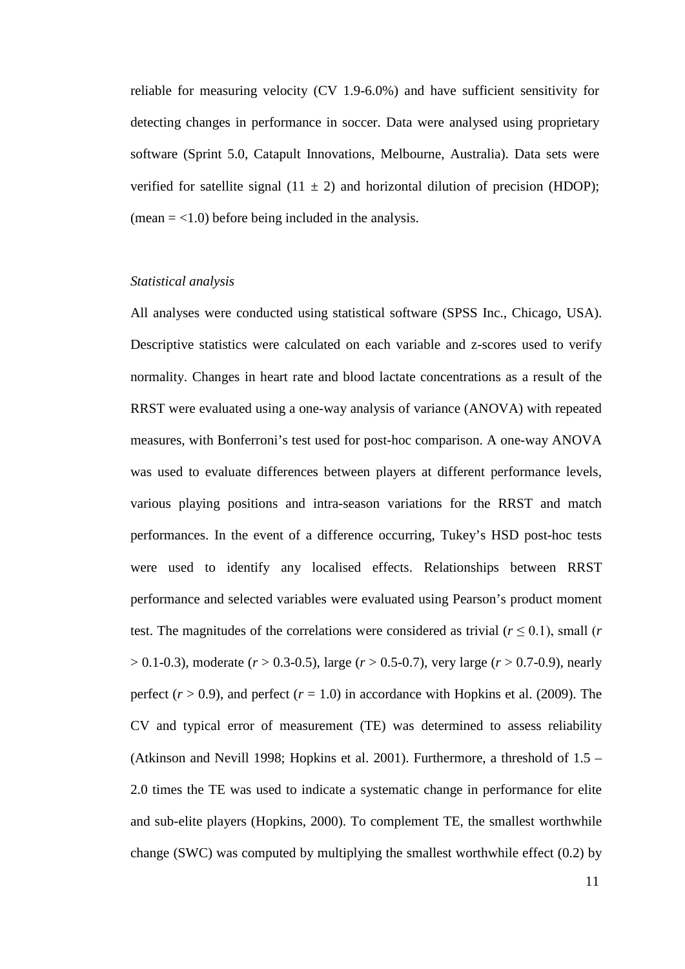reliable for measuring velocity (CV 1.9-6.0%) and have sufficient sensitivity for detecting changes in performance in soccer. Data were analysed using proprietary software (Sprint 5.0, Catapult Innovations, Melbourne, Australia). Data sets were verified for satellite signal (11  $\pm$  2) and horizontal dilution of precision (HDOP);  $(\text{mean} = < 1.0)$  before being included in the analysis.

#### *Statistical analysis*

All analyses were conducted using statistical software (SPSS Inc., Chicago, USA). Descriptive statistics were calculated on each variable and z-scores used to verify normality. Changes in heart rate and blood lactate concentrations as a result of the RRST were evaluated using a one-way analysis of variance (ANOVA) with repeated measures, with Bonferroni's test used for post-hoc comparison. A one-way ANOVA was used to evaluate differences between players at different performance levels, various playing positions and intra-season variations for the RRST and match performances. In the event of a difference occurring, Tukey's HSD post-hoc tests were used to identify any localised effects. Relationships between RRST performance and selected variables were evaluated using Pearson's product moment test. The magnitudes of the correlations were considered as trivial ( $r \leq 0.1$ ), small (*r* > 0.1-0.3), moderate (*r* > 0.3-0.5), large (*r* > 0.5-0.7), very large (*r* > 0.7-0.9), nearly perfect  $(r > 0.9)$ , and perfect  $(r = 1.0)$  in accordance with Hopkins et al. (2009). The CV and typical error of measurement (TE) was determined to assess reliability (Atkinson and Nevill 1998; Hopkins et al. 2001). Furthermore, a threshold of 1.5 – 2.0 times the TE was used to indicate a systematic change in performance for elite and sub-elite players (Hopkins, 2000). To complement TE, the smallest worthwhile change (SWC) was computed by multiplying the smallest worthwhile effect (0.2) by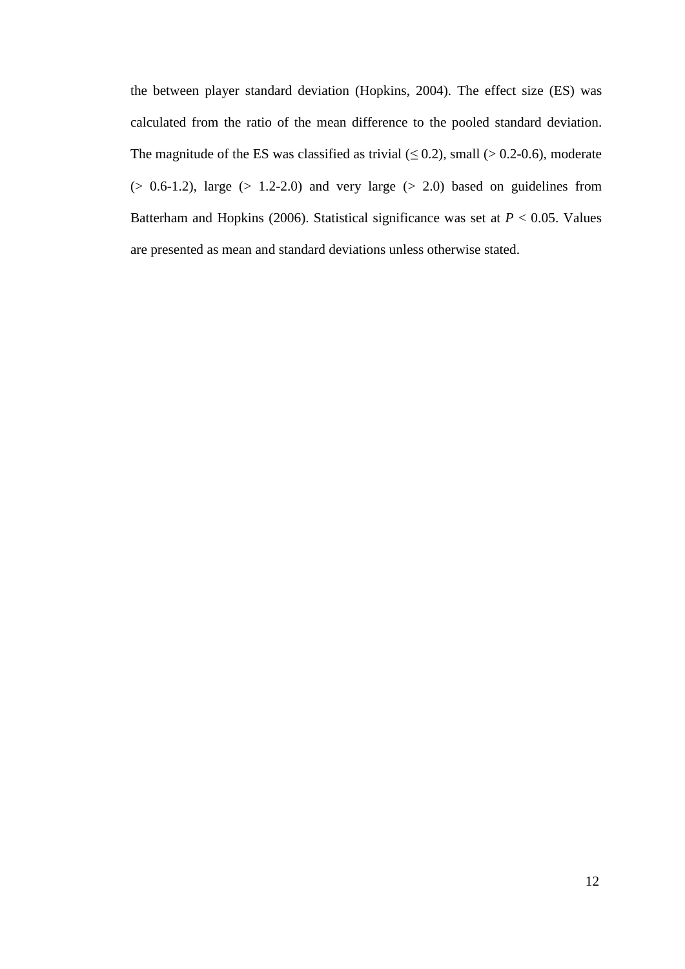the between player standard deviation (Hopkins, 2004). The effect size (ES) was calculated from the ratio of the mean difference to the pooled standard deviation. The magnitude of the ES was classified as trivial  $(\leq 0.2)$ , small ( $> 0.2$ -0.6), moderate  $(> 0.6-1.2)$ , large  $(> 1.2-2.0)$  and very large  $(> 2.0)$  based on guidelines from Batterham and Hopkins (2006). Statistical significance was set at *P* < 0.05. Values are presented as mean and standard deviations unless otherwise stated.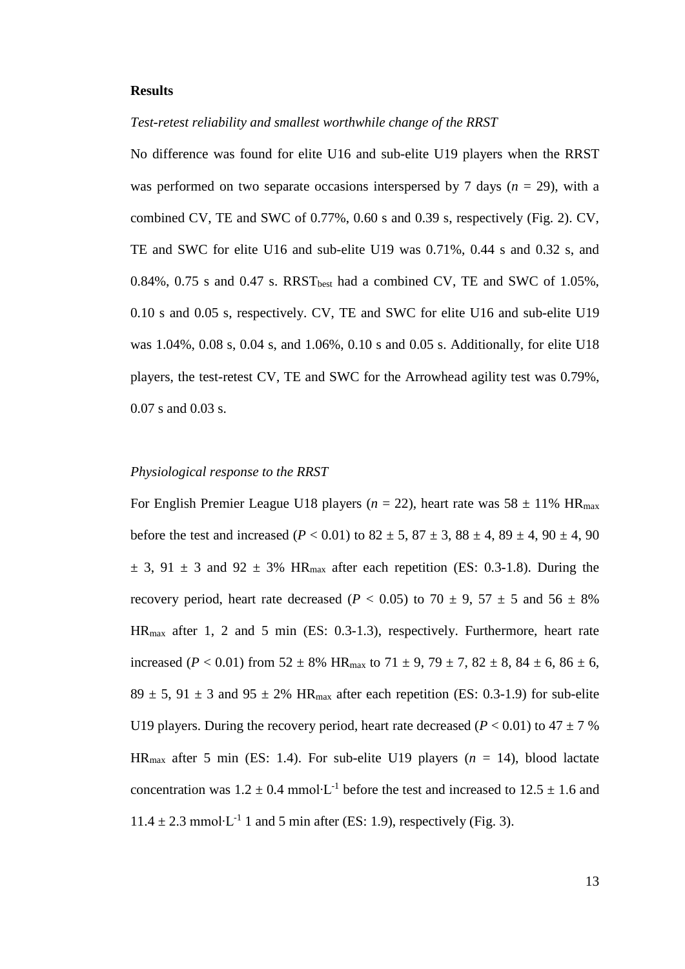## **Results**

*Test-retest reliability and smallest worthwhile change of the RRST*

No difference was found for elite U16 and sub-elite U19 players when the RRST was performed on two separate occasions interspersed by 7 days  $(n = 29)$ , with a combined CV, TE and SWC of 0.77%, 0.60 s and 0.39 s, respectively (Fig. 2). CV, TE and SWC for elite U16 and sub-elite U19 was 0.71%, 0.44 s and 0.32 s, and  $0.84\%$ ,  $0.75$  s and  $0.47$  s. RRST<sub>best</sub> had a combined CV, TE and SWC of  $1.05\%$ , 0.10 s and 0.05 s, respectively. CV, TE and SWC for elite U16 and sub-elite U19 was 1.04%, 0.08 s, 0.04 s, and 1.06%, 0.10 s and 0.05 s. Additionally, for elite U18 players, the test-retest CV, TE and SWC for the Arrowhead agility test was 0.79%, 0.07 s and 0.03 s.

## *Physiological response to the RRST*

For English Premier League U18 players ( $n = 22$ ), heart rate was  $58 \pm 11\%$  HR<sub>max</sub> before the test and increased (*P* < 0.01) to  $82 \pm 5$ ,  $87 \pm 3$ ,  $88 \pm 4$ ,  $89 \pm 4$ ,  $90 \pm 4$ ,  $90$  $\pm$  3, 91  $\pm$  3 and 92  $\pm$  3% HR<sub>max</sub> after each repetition (ES: 0.3-1.8). During the recovery period, heart rate decreased ( $P < 0.05$ ) to 70  $\pm$  9, 57  $\pm$  5 and 56  $\pm$  8% HRmax after 1, 2 and 5 min (ES: 0.3-1.3), respectively. Furthermore, heart rate increased (*P* < 0.01) from 52  $\pm$  8% HR<sub>max</sub> to 71  $\pm$  9, 79  $\pm$  7, 82  $\pm$  8, 84  $\pm$  6, 86  $\pm$  6,  $89 \pm 5$ ,  $91 \pm 3$  and  $95 \pm 2\%$  HR<sub>max</sub> after each repetition (ES: 0.3-1.9) for sub-elite U19 players. During the recovery period, heart rate decreased ( $P < 0.01$ ) to  $47 \pm 7$  % HR<sub>max</sub> after 5 min (ES: 1.4). For sub-elite U19 players  $(n = 14)$ , blood lactate concentration was  $1.2 \pm 0.4$  mmol⋅L<sup>-1</sup> before the test and increased to  $12.5 \pm 1.6$  and  $11.4 \pm 2.3$  mmol⋅L<sup>-1</sup> 1 and 5 min after (ES: 1.9), respectively (Fig. 3).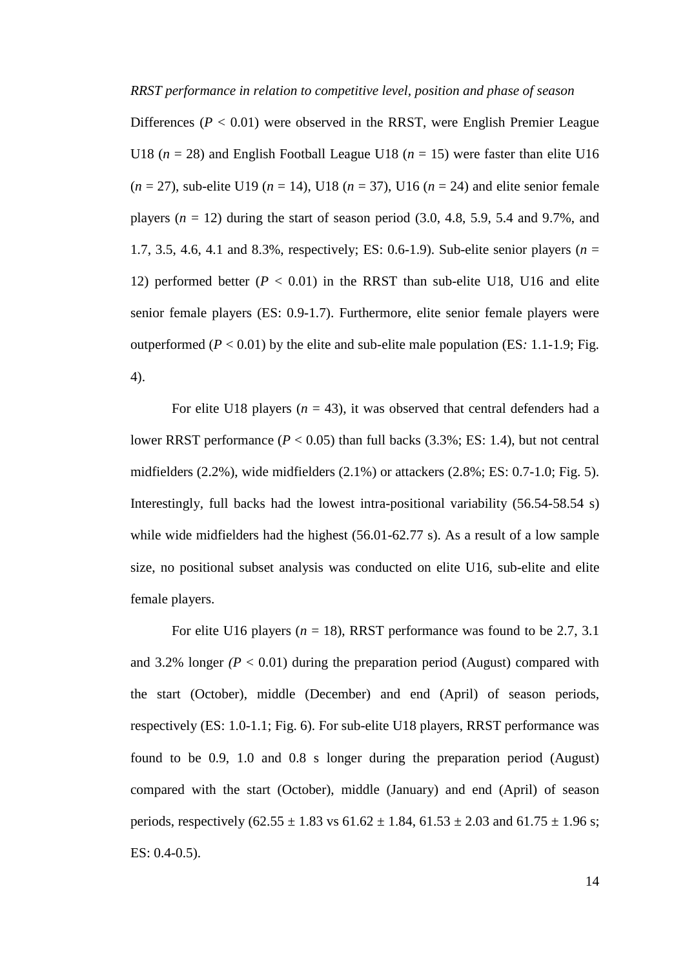#### *RRST performance in relation to competitive level, position and phase of season*

Differences  $(P < 0.01)$  were observed in the RRST, were English Premier League U18 ( $n = 28$ ) and English Football League U18 ( $n = 15$ ) were faster than elite U16  $(n = 27)$ , sub-elite U19 ( $n = 14$ ), U18 ( $n = 37$ ), U16 ( $n = 24$ ) and elite senior female players  $(n = 12)$  during the start of season period  $(3.0, 4.8, 5.9, 5.4, 4.8, 9.7\%$ , and 1.7, 3.5, 4.6, 4.1 and 8.3%, respectively; ES: 0.6-1.9). Sub-elite senior players (*n* = 12) performed better  $(P < 0.01)$  in the RRST than sub-elite U18, U16 and elite senior female players (ES: 0.9-1.7). Furthermore, elite senior female players were outperformed (*P* < 0.01) by the elite and sub-elite male population (ES*:* 1.1-1.9; Fig. 4).

For elite U18 players  $(n = 43)$ , it was observed that central defenders had a lower RRST performance  $(P < 0.05)$  than full backs  $(3.3\%; ES: 1.4)$ , but not central midfielders (2.2%), wide midfielders (2.1%) or attackers (2.8%; ES: 0.7-1.0; Fig. 5). Interestingly, full backs had the lowest intra-positional variability (56.54-58.54 s) while wide midfielders had the highest (56.01-62.77 s). As a result of a low sample size, no positional subset analysis was conducted on elite U16, sub-elite and elite female players.

For elite U16 players  $(n = 18)$ , RRST performance was found to be 2.7, 3.1 and 3.2% longer  $(P < 0.01)$  during the preparation period (August) compared with the start (October), middle (December) and end (April) of season periods, respectively (ES: 1.0-1.1; Fig. 6). For sub-elite U18 players, RRST performance was found to be 0.9, 1.0 and 0.8 s longer during the preparation period (August) compared with the start (October), middle (January) and end (April) of season periods, respectively  $(62.55 \pm 1.83 \text{ vs } 61.62 \pm 1.84, 61.53 \pm 2.03 \text{ and } 61.75 \pm 1.96 \text{ s};$ ES: 0.4-0.5).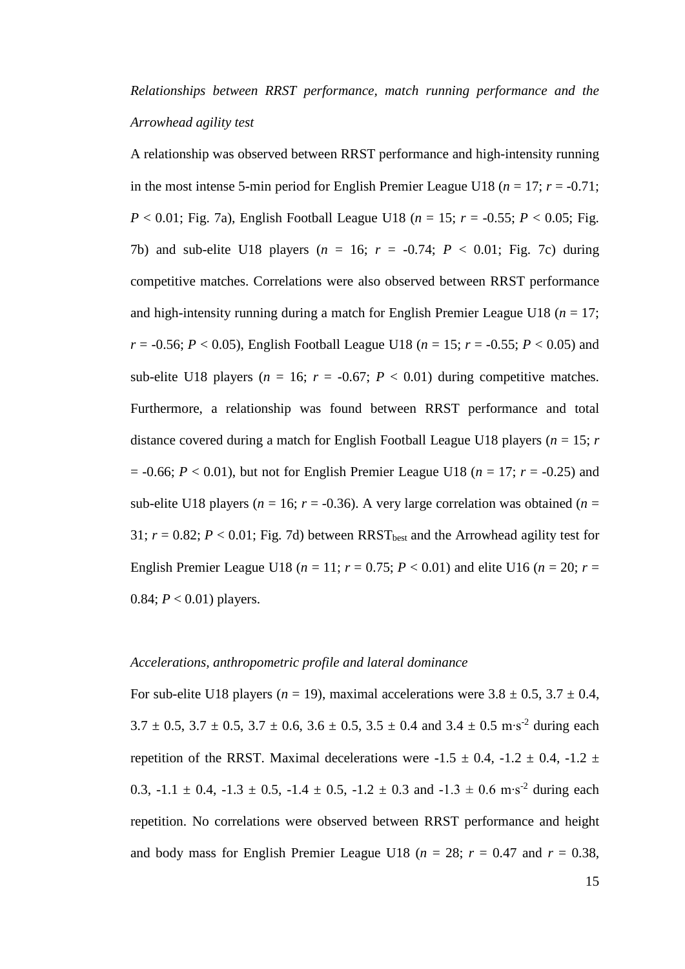*Relationships between RRST performance, match running performance and the Arrowhead agility test*

A relationship was observed between RRST performance and high-intensity running in the most intense 5-min period for English Premier League U18 ( $n = 17$ ;  $r = -0.71$ ; *P* < 0.01; Fig. 7a), English Football League U18 (*n* = 15; *r* = -0.55; *P* < 0.05; Fig. 7b) and sub-elite U18 players ( $n = 16$ ;  $r = -0.74$ ;  $P < 0.01$ ; Fig. 7c) during competitive matches. Correlations were also observed between RRST performance and high-intensity running during a match for English Premier League U18 ( $n = 17$ ; *r* = -0.56; *P* < 0.05), English Football League U18 ( $n = 15$ ;  $r = -0.55$ ;  $P < 0.05$ ) and sub-elite U18 players ( $n = 16$ ;  $r = -0.67$ ;  $P < 0.01$ ) during competitive matches. Furthermore, a relationship was found between RRST performance and total distance covered during a match for English Football League U18 players ( $n = 15$ ;  $r = 15$ )  $= -0.66$ ;  $P < 0.01$ ), but not for English Premier League U18 ( $n = 17$ ;  $r = -0.25$ ) and sub-elite U18 players ( $n = 16$ ;  $r = -0.36$ ). A very large correlation was obtained ( $n =$ 31;  $r = 0.82$ ;  $P < 0.01$ ; Fig. 7d) between RRST<sub>best</sub> and the Arrowhead agility test for English Premier League U18 ( $n = 11$ ;  $r = 0.75$ ;  $P < 0.01$ ) and elite U16 ( $n = 20$ ;  $r =$ 0.84;  $P < 0.01$ ) players.

## *Accelerations, anthropometric profile and lateral dominance*

For sub-elite U18 players ( $n = 19$ ), maximal accelerations were  $3.8 \pm 0.5$ ,  $3.7 \pm 0.4$ ,  $3.7 \pm 0.5$ ,  $3.7 \pm 0.5$ ,  $3.7 \pm 0.6$ ,  $3.6 \pm 0.5$ ,  $3.5 \pm 0.4$  and  $3.4 \pm 0.5$  m⋅s<sup>-2</sup> during each repetition of the RRST. Maximal decelerations were  $-1.5 \pm 0.4$ ,  $-1.2 \pm 0.4$ ,  $-1.2 \pm 1.2$ 0.3,  $-1.1 \pm 0.4$ ,  $-1.3 \pm 0.5$ ,  $-1.4 \pm 0.5$ ,  $-1.2 \pm 0.3$  and  $-1.3 \pm 0.6$  m⋅s<sup>-2</sup> during each repetition. No correlations were observed between RRST performance and height and body mass for English Premier League U18 ( $n = 28$ ;  $r = 0.47$  and  $r = 0.38$ ,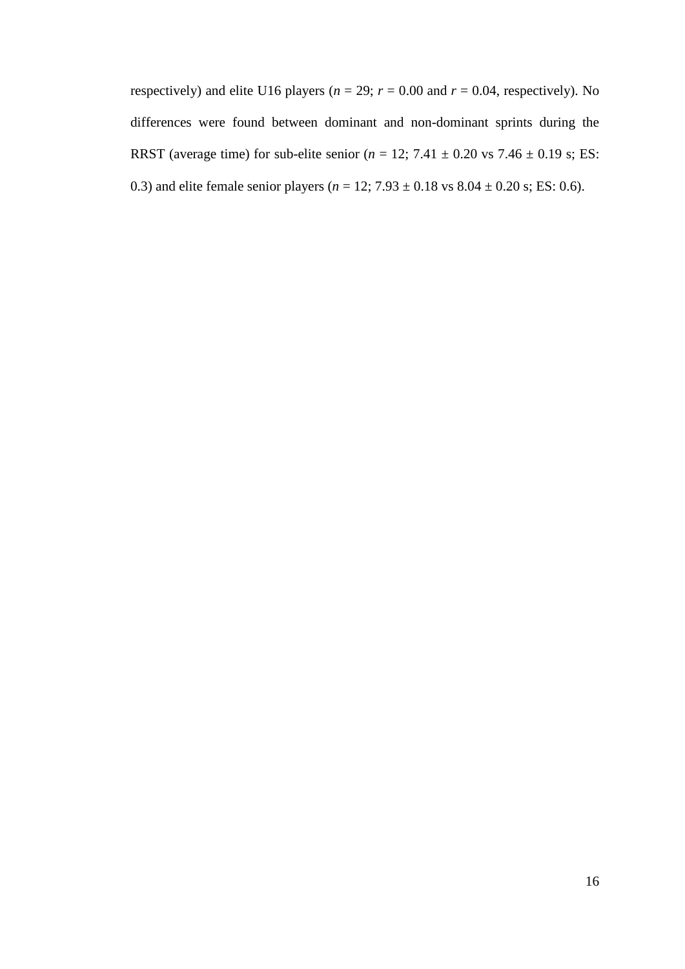respectively) and elite U16 players ( $n = 29$ ;  $r = 0.00$  and  $r = 0.04$ , respectively). No differences were found between dominant and non-dominant sprints during the RRST (average time) for sub-elite senior ( $n = 12$ ; 7.41  $\pm$  0.20 vs 7.46  $\pm$  0.19 s; ES: 0.3) and elite female senior players ( $n = 12$ ;  $7.93 \pm 0.18$  vs  $8.04 \pm 0.20$  s; ES: 0.6).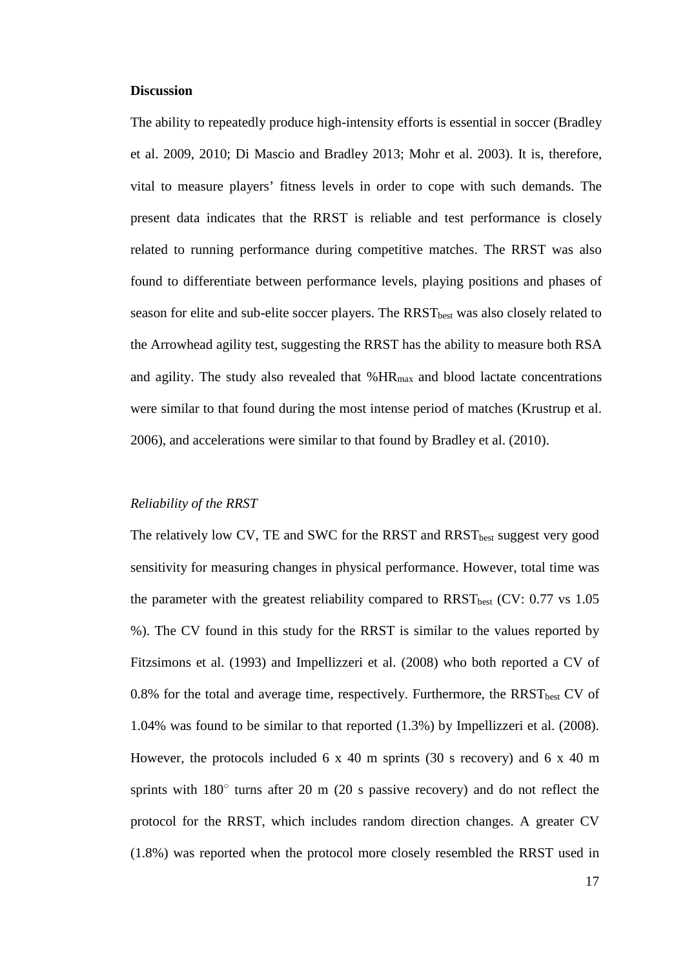## **Discussion**

The ability to repeatedly produce high-intensity efforts is essential in soccer (Bradley et al. 2009, 2010; Di Mascio and Bradley 2013; Mohr et al. 2003). It is, therefore, vital to measure players' fitness levels in order to cope with such demands. The present data indicates that the RRST is reliable and test performance is closely related to running performance during competitive matches. The RRST was also found to differentiate between performance levels, playing positions and phases of season for elite and sub-elite soccer players. The RRST<sub>best</sub> was also closely related to the Arrowhead agility test, suggesting the RRST has the ability to measure both RSA and agility. The study also revealed that  $% HR_{max}$  and blood lactate concentrations were similar to that found during the most intense period of matches (Krustrup et al. 2006), and accelerations were similar to that found by Bradley et al. (2010).

## *Reliability of the RRST*

The relatively low CV, TE and SWC for the RRST and RRST<sub>best</sub> suggest very good sensitivity for measuring changes in physical performance. However, total time was the parameter with the greatest reliability compared to  $RRST_{best}$  (CV: 0.77 vs 1.05) %). The CV found in this study for the RRST is similar to the values reported by Fitzsimons et al. (1993) and Impellizzeri et al. (2008) who both reported a CV of  $0.8\%$  for the total and average time, respectively. Furthermore, the RRST<sub>best</sub> CV of 1.04% was found to be similar to that reported (1.3%) by Impellizzeri et al. (2008). However, the protocols included  $6 \times 40$  m sprints (30 s recovery) and  $6 \times 40$  m sprints with  $180^\circ$  turns after 20 m (20 s passive recovery) and do not reflect the protocol for the RRST, which includes random direction changes. A greater CV (1.8%) was reported when the protocol more closely resembled the RRST used in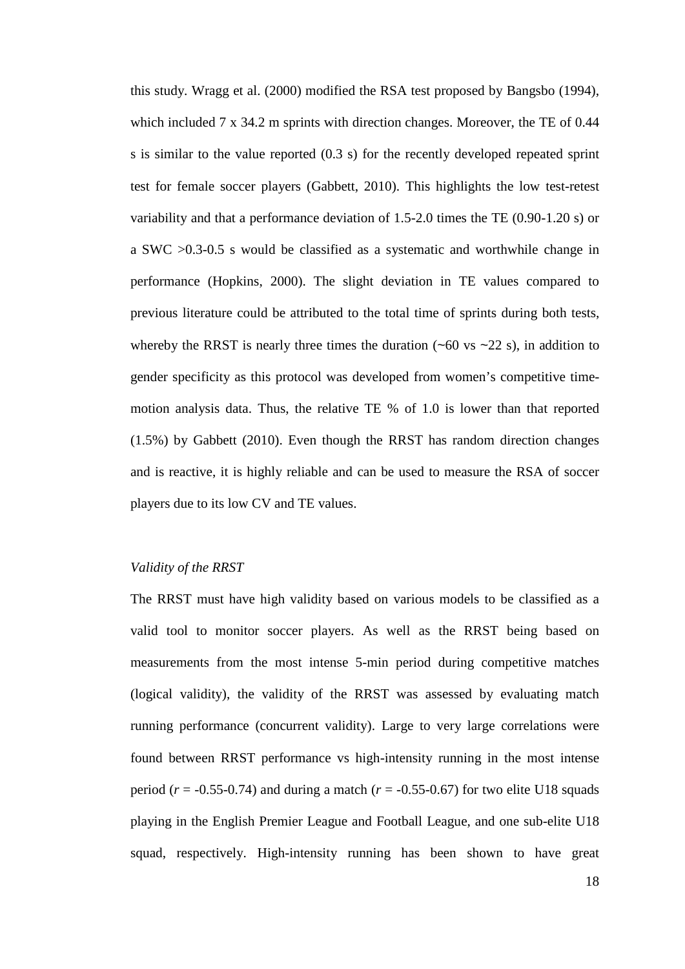this study. Wragg et al. (2000) modified the RSA test proposed by Bangsbo (1994), which included  $7 \times 34.2$  m sprints with direction changes. Moreover, the TE of 0.44 s is similar to the value reported (0.3 s) for the recently developed repeated sprint test for female soccer players (Gabbett, 2010). This highlights the low test-retest variability and that a performance deviation of 1.5-2.0 times the TE (0.90-1.20 s) or a SWC >0.3-0.5 s would be classified as a systematic and worthwhile change in performance (Hopkins, 2000). The slight deviation in TE values compared to previous literature could be attributed to the total time of sprints during both tests, whereby the RRST is nearly three times the duration  $(-60 \text{ vs } -22 \text{ s})$ , in addition to gender specificity as this protocol was developed from women's competitive timemotion analysis data. Thus, the relative TE % of 1.0 is lower than that reported (1.5%) by Gabbett (2010). Even though the RRST has random direction changes and is reactive, it is highly reliable and can be used to measure the RSA of soccer players due to its low CV and TE values.

## *Validity of the RRST*

The RRST must have high validity based on various models to be classified as a valid tool to monitor soccer players. As well as the RRST being based on measurements from the most intense 5-min period during competitive matches (logical validity), the validity of the RRST was assessed by evaluating match running performance (concurrent validity). Large to very large correlations were found between RRST performance vs high-intensity running in the most intense period ( $r = -0.55 - 0.74$ ) and during a match ( $r = -0.55 - 0.67$ ) for two elite U18 squads playing in the English Premier League and Football League, and one sub-elite U18 squad, respectively. High-intensity running has been shown to have great

18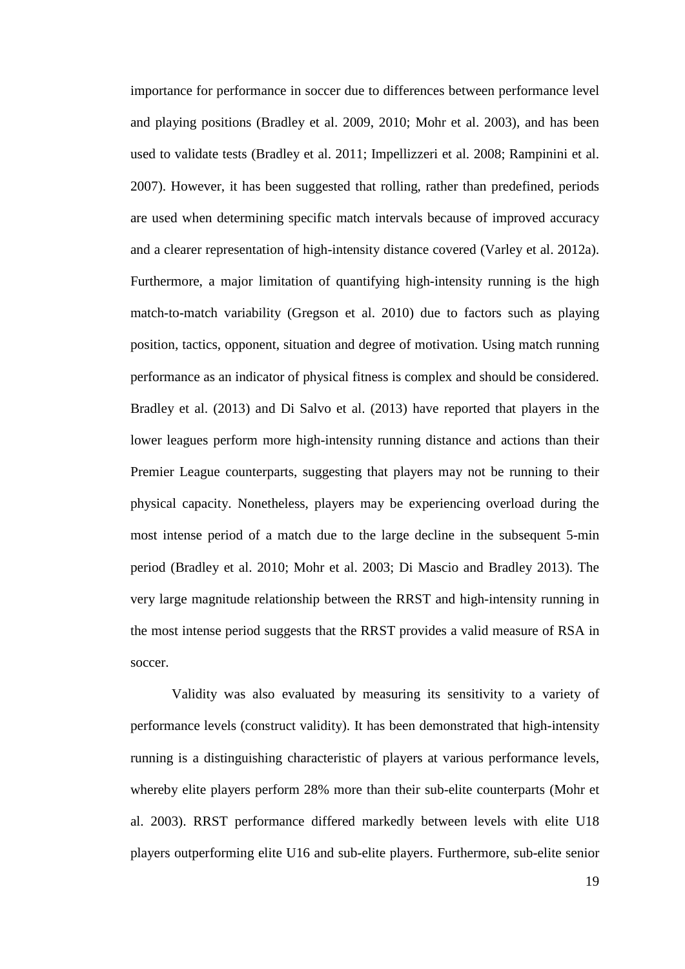importance for performance in soccer due to differences between performance level and playing positions (Bradley et al. 2009, 2010; Mohr et al. 2003), and has been used to validate tests (Bradley et al. 2011; Impellizzeri et al. 2008; Rampinini et al. 2007). However, it has been suggested that rolling, rather than predefined, periods are used when determining specific match intervals because of improved accuracy and a clearer representation of high-intensity distance covered (Varley et al. 2012a). Furthermore, a major limitation of quantifying high-intensity running is the high match-to-match variability (Gregson et al. 2010) due to factors such as playing position, tactics, opponent, situation and degree of motivation. Using match running performance as an indicator of physical fitness is complex and should be considered. Bradley et al. (2013) and Di Salvo et al. (2013) have reported that players in the lower leagues perform more high-intensity running distance and actions than their Premier League counterparts, suggesting that players may not be running to their physical capacity. Nonetheless, players may be experiencing overload during the most intense period of a match due to the large decline in the subsequent 5-min period (Bradley et al. 2010; Mohr et al. 2003; Di Mascio and Bradley 2013). The very large magnitude relationship between the RRST and high-intensity running in the most intense period suggests that the RRST provides a valid measure of RSA in soccer.

Validity was also evaluated by measuring its sensitivity to a variety of performance levels (construct validity). It has been demonstrated that high-intensity running is a distinguishing characteristic of players at various performance levels, whereby elite players perform 28% more than their sub-elite counterparts (Mohr et al. 2003). RRST performance differed markedly between levels with elite U18 players outperforming elite U16 and sub-elite players. Furthermore, sub-elite senior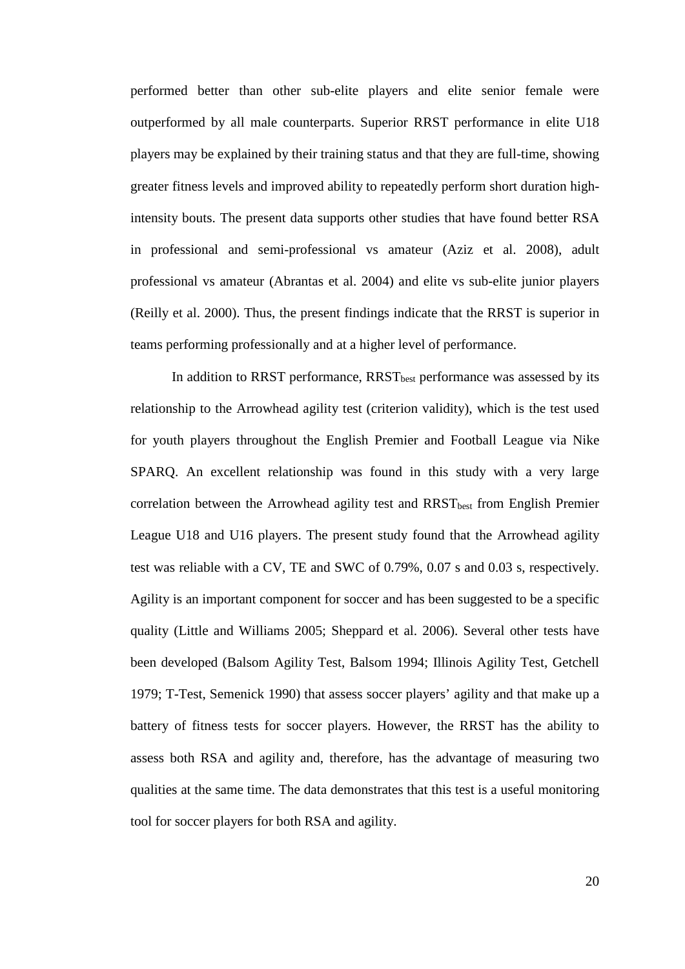performed better than other sub-elite players and elite senior female were outperformed by all male counterparts. Superior RRST performance in elite U18 players may be explained by their training status and that they are full-time, showing greater fitness levels and improved ability to repeatedly perform short duration highintensity bouts. The present data supports other studies that have found better RSA in professional and semi-professional vs amateur (Aziz et al. 2008), adult professional vs amateur (Abrantas et al. 2004) and elite vs sub-elite junior players (Reilly et al. 2000). Thus, the present findings indicate that the RRST is superior in teams performing professionally and at a higher level of performance.

In addition to RRST performance, RRST<sub>hest</sub> performance was assessed by its relationship to the Arrowhead agility test (criterion validity), which is the test used for youth players throughout the English Premier and Football League via Nike SPARQ. An excellent relationship was found in this study with a very large correlation between the Arrowhead agility test and  $RRST<sub>best</sub>$  from English Premier League U18 and U16 players. The present study found that the Arrowhead agility test was reliable with a CV, TE and SWC of 0.79%, 0.07 s and 0.03 s, respectively. Agility is an important component for soccer and has been suggested to be a specific quality (Little and Williams 2005; Sheppard et al. 2006). Several other tests have been developed (Balsom Agility Test, Balsom 1994; Illinois Agility Test, Getchell 1979; T-Test, Semenick 1990) that assess soccer players' agility and that make up a battery of fitness tests for soccer players. However, the RRST has the ability to assess both RSA and agility and, therefore, has the advantage of measuring two qualities at the same time. The data demonstrates that this test is a useful monitoring tool for soccer players for both RSA and agility.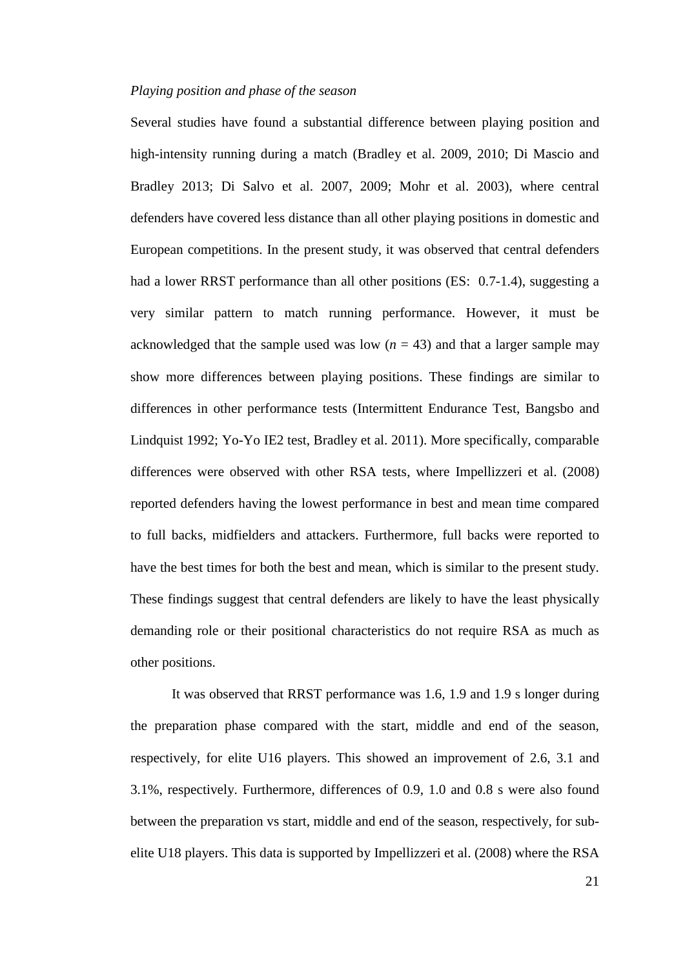#### *Playing position and phase of the season*

Several studies have found a substantial difference between playing position and high-intensity running during a match (Bradley et al. 2009, 2010; Di Mascio and Bradley 2013; Di Salvo et al. 2007, 2009; Mohr et al. 2003), where central defenders have covered less distance than all other playing positions in domestic and European competitions. In the present study, it was observed that central defenders had a lower RRST performance than all other positions (ES: 0.7-1.4), suggesting a very similar pattern to match running performance. However, it must be acknowledged that the sample used was low  $(n = 43)$  and that a larger sample may show more differences between playing positions. These findings are similar to differences in other performance tests (Intermittent Endurance Test, Bangsbo and Lindquist 1992; Yo-Yo IE2 test, Bradley et al. 2011). More specifically, comparable differences were observed with other RSA tests, where Impellizzeri et al. (2008) reported defenders having the lowest performance in best and mean time compared to full backs, midfielders and attackers. Furthermore, full backs were reported to have the best times for both the best and mean, which is similar to the present study. These findings suggest that central defenders are likely to have the least physically demanding role or their positional characteristics do not require RSA as much as other positions.

It was observed that RRST performance was 1.6, 1.9 and 1.9 s longer during the preparation phase compared with the start, middle and end of the season, respectively, for elite U16 players. This showed an improvement of 2.6, 3.1 and 3.1%, respectively. Furthermore, differences of 0.9, 1.0 and 0.8 s were also found between the preparation vs start, middle and end of the season, respectively, for subelite U18 players. This data is supported by Impellizzeri et al. (2008) where the RSA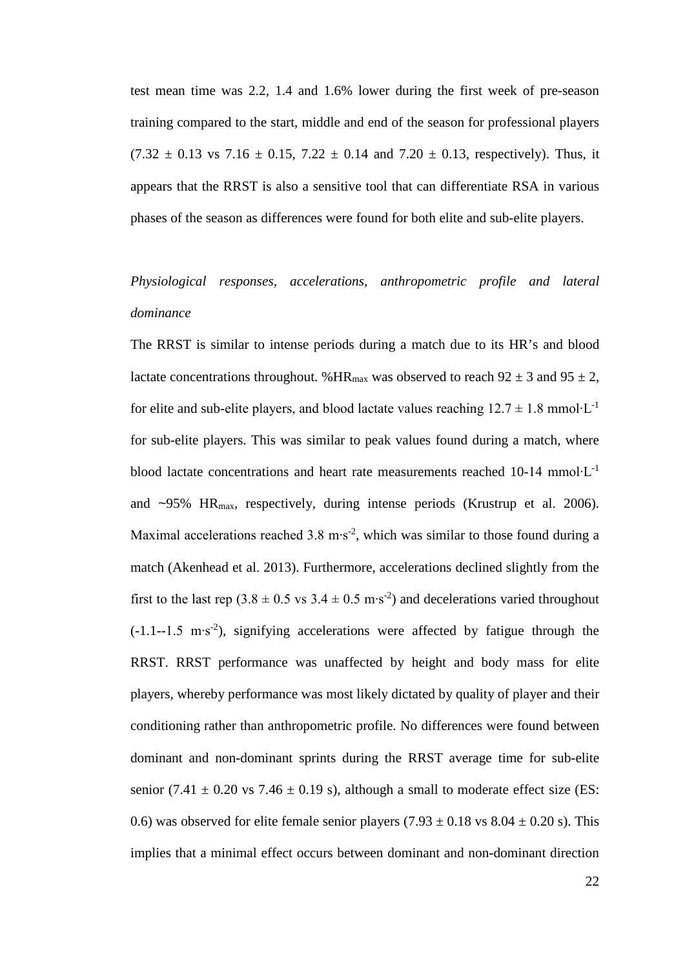test mean time was 2.2, 1.4 and 1.6% lower during the first week of pre-season training compared to the start, middle and end of the season for professional players  $(7.32 \pm 0.13 \text{ vs } 7.16 \pm 0.15, 7.22 \pm 0.14 \text{ and } 7.20 \pm 0.13, \text{ respectively}).$  Thus, it appears that the RRST is also a sensitive tool that can differentiate RSA in various phases of the season as differences were found for both elite and sub-elite players.

## *Physiological responses, accelerations, anthropometric profile and lateral dominance*

The RRST is similar to intense periods during a match due to its HR's and blood lactate concentrations throughout. %HR<sub>max</sub> was observed to reach  $92 \pm 3$  and  $95 \pm 2$ , for elite and sub-elite players, and blood lactate values reaching  $12.7 \pm 1.8$  mmol⋅L<sup>-1</sup> for sub-elite players. This was similar to peak values found during a match, where blood lactate concentrations and heart rate measurements reached 10-14 mmol∙L-1 and  $\sim$ 95% HR<sub>max</sub>, respectively, during intense periods (Krustrup et al. 2006). Maximal accelerations reached 3.8 m⋅s<sup>-2</sup>, which was similar to those found during a match (Akenhead et al. 2013). Furthermore, accelerations declined slightly from the first to the last rep  $(3.8 \pm 0.5 \text{ vs } 3.4 \pm 0.5 \text{ m} \cdot \text{s}^{-2})$  and decelerations varied throughout  $(-1.1 - 1.5 \text{ m·s}^2)$ , signifying accelerations were affected by fatigue through the RRST. RRST performance was unaffected by height and body mass for elite players, whereby performance was most likely dictated by quality of player and their conditioning rather than anthropometric profile. No differences were found between dominant and non-dominant sprints during the RRST average time for sub-elite senior (7.41  $\pm$  0.20 vs 7.46  $\pm$  0.19 s), although a small to moderate effect size (ES: 0.6) was observed for elite female senior players  $(7.93 \pm 0.18 \text{ vs } 8.04 \pm 0.20 \text{ s})$ . This implies that a minimal effect occurs between dominant and non-dominant direction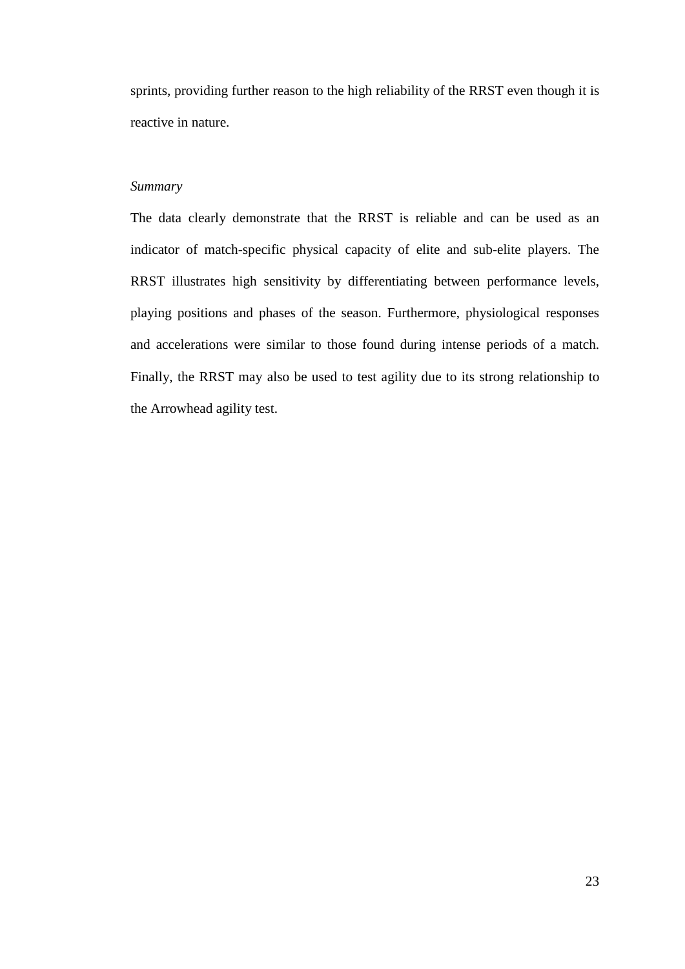sprints, providing further reason to the high reliability of the RRST even though it is reactive in nature.

## *Summary*

The data clearly demonstrate that the RRST is reliable and can be used as an indicator of match-specific physical capacity of elite and sub-elite players. The RRST illustrates high sensitivity by differentiating between performance levels, playing positions and phases of the season. Furthermore, physiological responses and accelerations were similar to those found during intense periods of a match. Finally, the RRST may also be used to test agility due to its strong relationship to the Arrowhead agility test.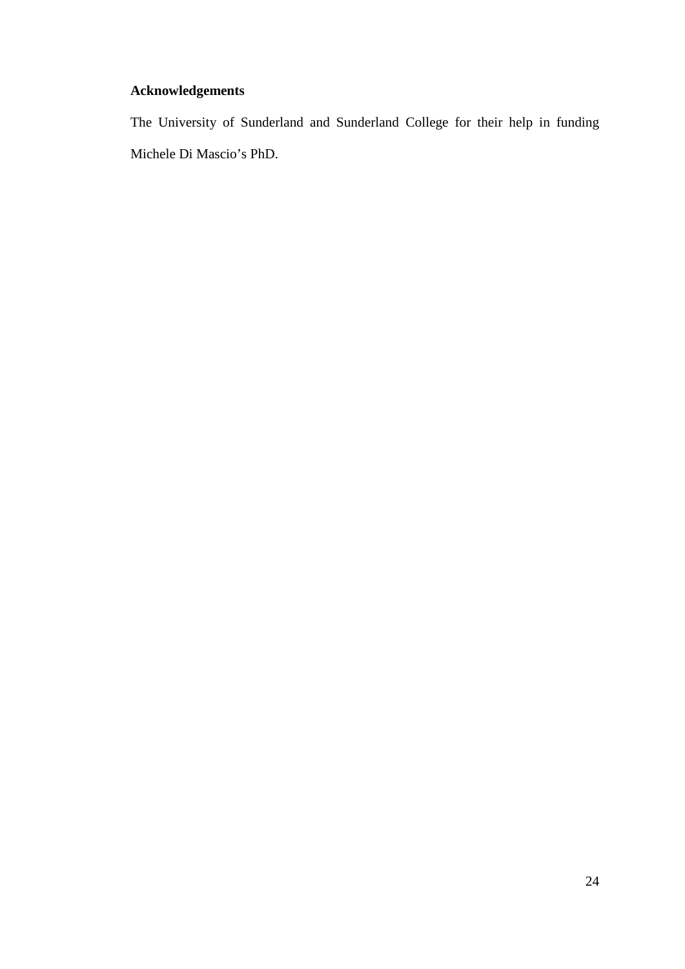## **Acknowledgements**

The University of Sunderland and Sunderland College for their help in funding Michele Di Mascio's PhD.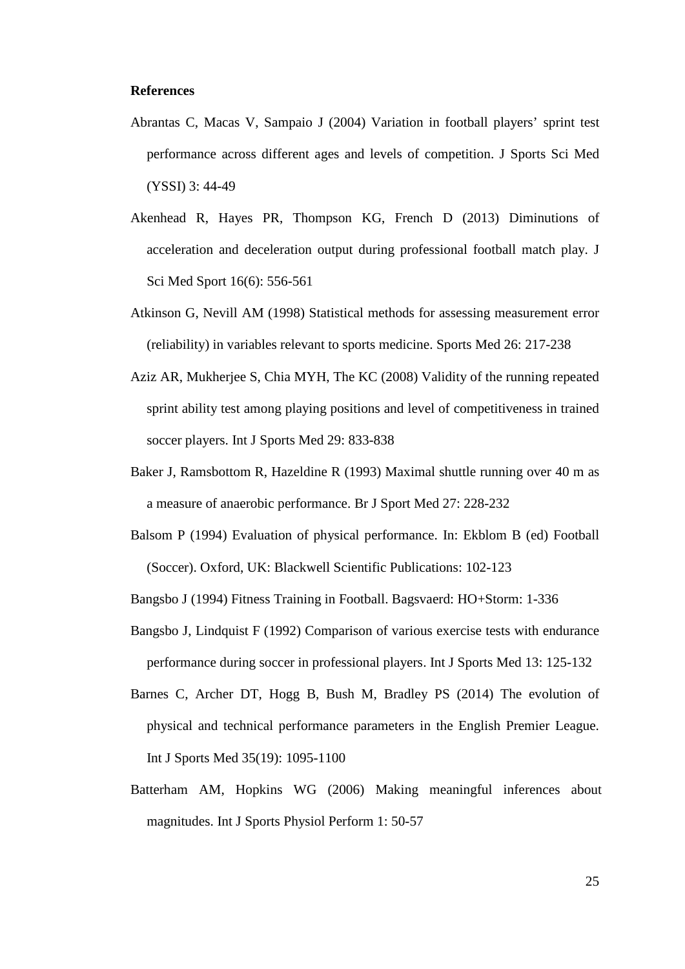## **References**

- Abrantas C, Macas V, Sampaio J (2004) Variation in football players' sprint test performance across different ages and levels of competition. J Sports Sci Med (YSSI) 3: 44-49
- Akenhead R, Hayes PR, Thompson KG, French D (2013) Diminutions of acceleration and deceleration output during professional football match play. J Sci Med Sport 16(6): 556-561
- Atkinson G, Nevill AM (1998) Statistical methods for assessing measurement error (reliability) in variables relevant to sports medicine. Sports Med 26: 217-238
- Aziz AR, Mukherjee S, Chia MYH, The KC (2008) Validity of the running repeated sprint ability test among playing positions and level of competitiveness in trained soccer players. Int J Sports Med 29: 833-838
- Baker J, Ramsbottom R, Hazeldine R (1993) Maximal shuttle running over 40 m as a measure of anaerobic performance. Br J Sport Med 27: 228-232
- Balsom P (1994) Evaluation of physical performance. In: Ekblom B (ed) Football (Soccer). Oxford, UK: Blackwell Scientific Publications: 102-123
- Bangsbo J (1994) Fitness Training in Football. Bagsvaerd: HO+Storm: 1-336
- Bangsbo J, Lindquist F (1992) Comparison of various exercise tests with endurance performance during soccer in professional players. Int J Sports Med 13: 125-132
- Barnes C, Archer DT, Hogg B, Bush M, Bradley PS (2014) The evolution of physical and technical performance parameters in the English Premier League. Int J Sports Med 35(19): 1095-1100
- Batterham AM, Hopkins WG (2006) Making meaningful inferences about magnitudes. Int J Sports Physiol Perform 1: 50-57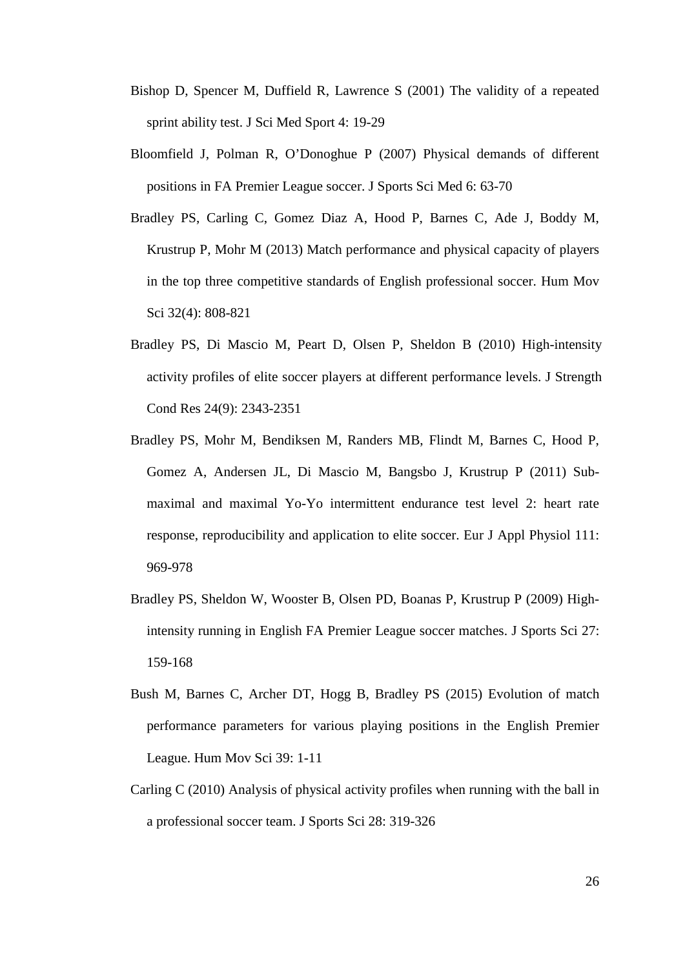- Bishop D, Spencer M, Duffield R, Lawrence S (2001) The validity of a repeated sprint ability test. J Sci Med Sport 4: 19-29
- Bloomfield J, Polman R, O'Donoghue P (2007) Physical demands of different positions in FA Premier League soccer. J Sports Sci Med 6: 63-70
- Bradley PS, Carling C, Gomez Diaz A, Hood P, Barnes C, Ade J, Boddy M, Krustrup P, Mohr M (2013) Match performance and physical capacity of players in the top three competitive standards of English professional soccer. Hum Mov Sci 32(4): 808-821
- Bradley PS, Di Mascio M, Peart D, Olsen P, Sheldon B (2010) High-intensity activity profiles of elite soccer players at different performance levels. J Strength Cond Res 24(9): 2343-2351
- Bradley PS, Mohr M, Bendiksen M, Randers MB, Flindt M, Barnes C, Hood P, Gomez A, Andersen JL, Di Mascio M, Bangsbo J, Krustrup P (2011) Submaximal and maximal Yo-Yo intermittent endurance test level 2: heart rate response, reproducibility and application to elite soccer. Eur J Appl Physiol 111: 969-978
- Bradley PS, Sheldon W, Wooster B, Olsen PD, Boanas P, Krustrup P (2009) Highintensity running in English FA Premier League soccer matches. J Sports Sci 27: 159-168
- Bush M, Barnes C, Archer DT, Hogg B, Bradley PS (2015) Evolution of match performance parameters for various playing positions in the English Premier League. Hum Mov Sci 39: 1-11
- Carling C (2010) Analysis of physical activity profiles when running with the ball in a professional soccer team. J Sports Sci 28: 319-326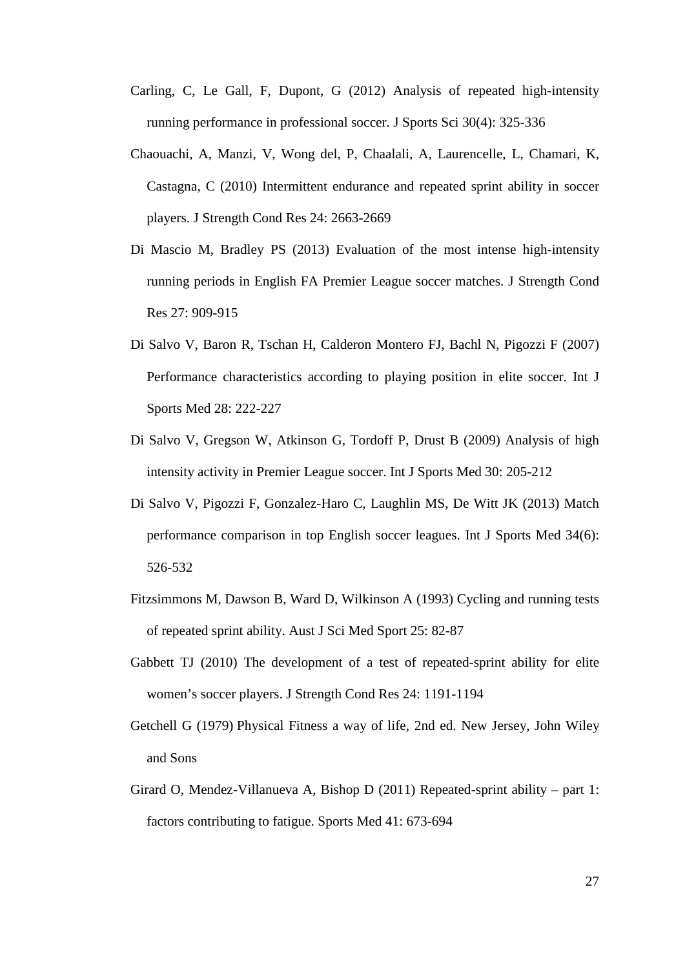- Carling, C, Le Gall, F, Dupont, G (2012) Analysis of repeated high-intensity running performance in professional soccer. J Sports Sci 30(4): 325-336
- Chaouachi, A, Manzi, V, Wong del, P, Chaalali, A, Laurencelle, L, Chamari, K, Castagna, C (2010) Intermittent endurance and repeated sprint ability in soccer players. J Strength Cond Res 24: 2663-2669
- Di Mascio M, Bradley PS (2013) Evaluation of the most intense high-intensity running periods in English FA Premier League soccer matches. J Strength Cond Res 27: 909-915
- Di Salvo V, Baron R, Tschan H, Calderon Montero FJ, Bachl N, Pigozzi F (2007) Performance characteristics according to playing position in elite soccer. Int J Sports Med 28: 222-227
- Di Salvo V, Gregson W, Atkinson G, Tordoff P, Drust B (2009) Analysis of high intensity activity in Premier League soccer. Int J Sports Med 30: 205-212
- Di Salvo V, Pigozzi F, Gonzalez-Haro C, Laughlin MS, De Witt JK (2013) Match performance comparison in top English soccer leagues. Int J Sports Med 34(6): 526-532
- Fitzsimmons M, Dawson B, Ward D, Wilkinson A (1993) Cycling and running tests of repeated sprint ability. Aust J Sci Med Sport 25: 82-87
- Gabbett TJ (2010) The development of a test of repeated-sprint ability for elite women's soccer players. J Strength Cond Res 24: 1191-1194
- Getchell G (1979) Physical Fitness a way of life*,* 2nd ed. New Jersey, John Wiley and Sons
- Girard O, Mendez-Villanueva A, Bishop D (2011) Repeated-sprint ability part 1: factors contributing to fatigue. Sports Med 41: 673-694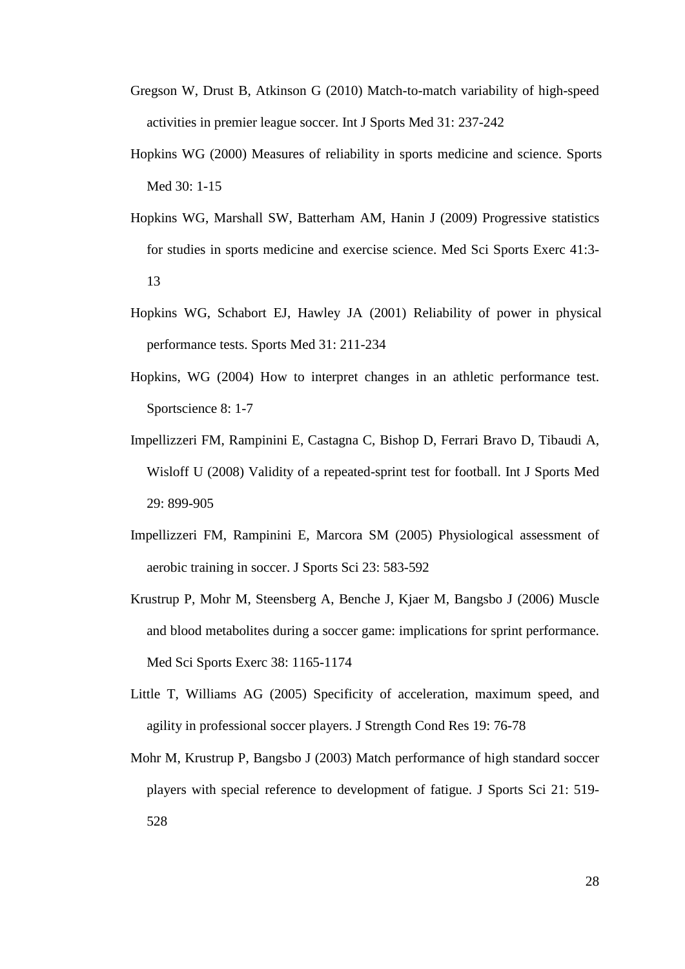- Gregson W, Drust B, Atkinson G (2010) Match-to-match variability of high-speed activities in premier league soccer. Int J Sports Med 31: 237-242
- Hopkins WG (2000) Measures of reliability in sports medicine and science. Sports Med 30: 1-15
- Hopkins WG, Marshall SW, Batterham AM, Hanin J (2009) Progressive statistics for studies in sports medicine and exercise science. Med Sci Sports Exerc 41:3- 13
- Hopkins WG, Schabort EJ, Hawley JA (2001) Reliability of power in physical performance tests. Sports Med 31: 211-234
- Hopkins, WG (2004) How to interpret changes in an athletic performance test. Sportscience 8: 1-7
- Impellizzeri FM, Rampinini E, Castagna C, Bishop D, Ferrari Bravo D, Tibaudi A, Wisloff U (2008) Validity of a repeated-sprint test for football. Int J Sports Med 29: 899-905
- Impellizzeri FM, Rampinini E, Marcora SM (2005) Physiological assessment of aerobic training in soccer. J Sports Sci 23: 583-592
- Krustrup P, Mohr M, Steensberg A, Benche J, Kjaer M, Bangsbo J (2006) Muscle and blood metabolites during a soccer game: implications for sprint performance. Med Sci Sports Exerc 38: 1165-1174
- Little T, Williams AG (2005) Specificity of acceleration, maximum speed, and agility in professional soccer players. J Strength Cond Res 19: 76-78
- Mohr M, Krustrup P, Bangsbo J (2003) Match performance of high standard soccer players with special reference to development of fatigue. J Sports Sci 21: 519- 528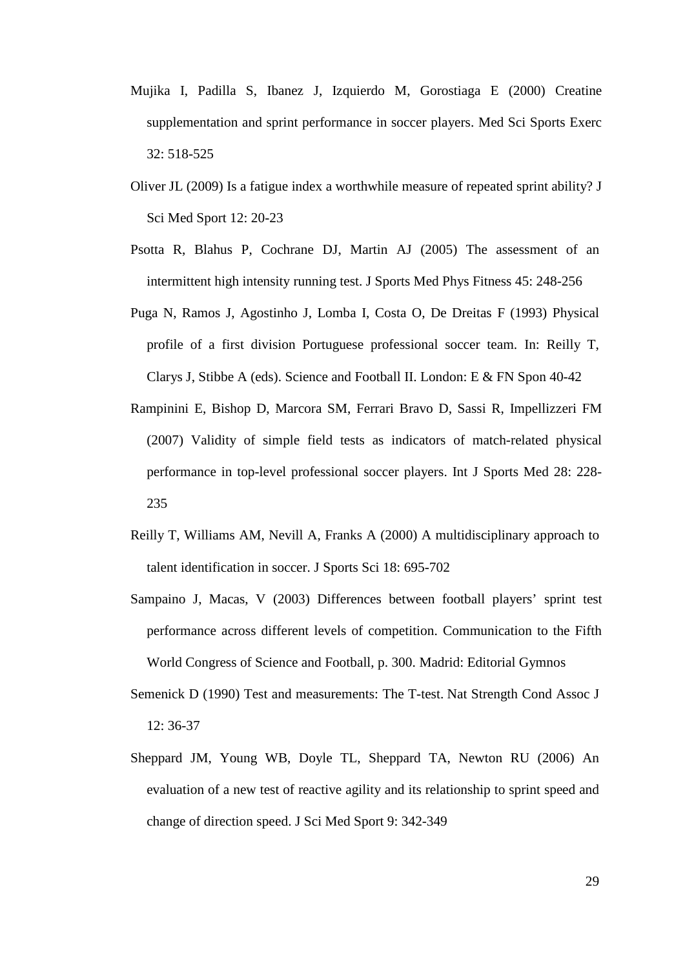- Mujika I, Padilla S, Ibanez J, Izquierdo M, Gorostiaga E (2000) Creatine supplementation and sprint performance in soccer players. Med Sci Sports Exerc 32: 518-525
- Oliver JL (2009) Is a fatigue index a worthwhile measure of repeated sprint ability? J Sci Med Sport 12: 20-23
- Psotta R, Blahus P, Cochrane DJ, Martin AJ (2005) The assessment of an intermittent high intensity running test. J Sports Med Phys Fitness 45: 248-256
- Puga N, Ramos J, Agostinho J, Lomba I, Costa O, De Dreitas F (1993) Physical profile of a first division Portuguese professional soccer team. In: Reilly T, Clarys J, Stibbe A (eds). Science and Football II. London: E & FN Spon 40-42
- Rampinini E, Bishop D, Marcora SM, Ferrari Bravo D, Sassi R, Impellizzeri FM (2007) Validity of simple field tests as indicators of match-related physical performance in top-level professional soccer players. Int J Sports Med 28: 228- 235
- Reilly T, Williams AM, Nevill A, Franks A (2000) A multidisciplinary approach to talent identification in soccer. J Sports Sci 18: 695-702
- Sampaino J, Macas, V (2003) Differences between football players' sprint test performance across different levels of competition. Communication to the Fifth World Congress of Science and Football, p. 300. Madrid: Editorial Gymnos
- Semenick D (1990) Test and measurements: The T-test. Nat Strength Cond Assoc J 12: 36-37
- Sheppard JM, Young WB, Doyle TL, Sheppard TA, Newton RU (2006) An evaluation of a new test of reactive agility and its relationship to sprint speed and change of direction speed. J Sci Med Sport 9: 342-349